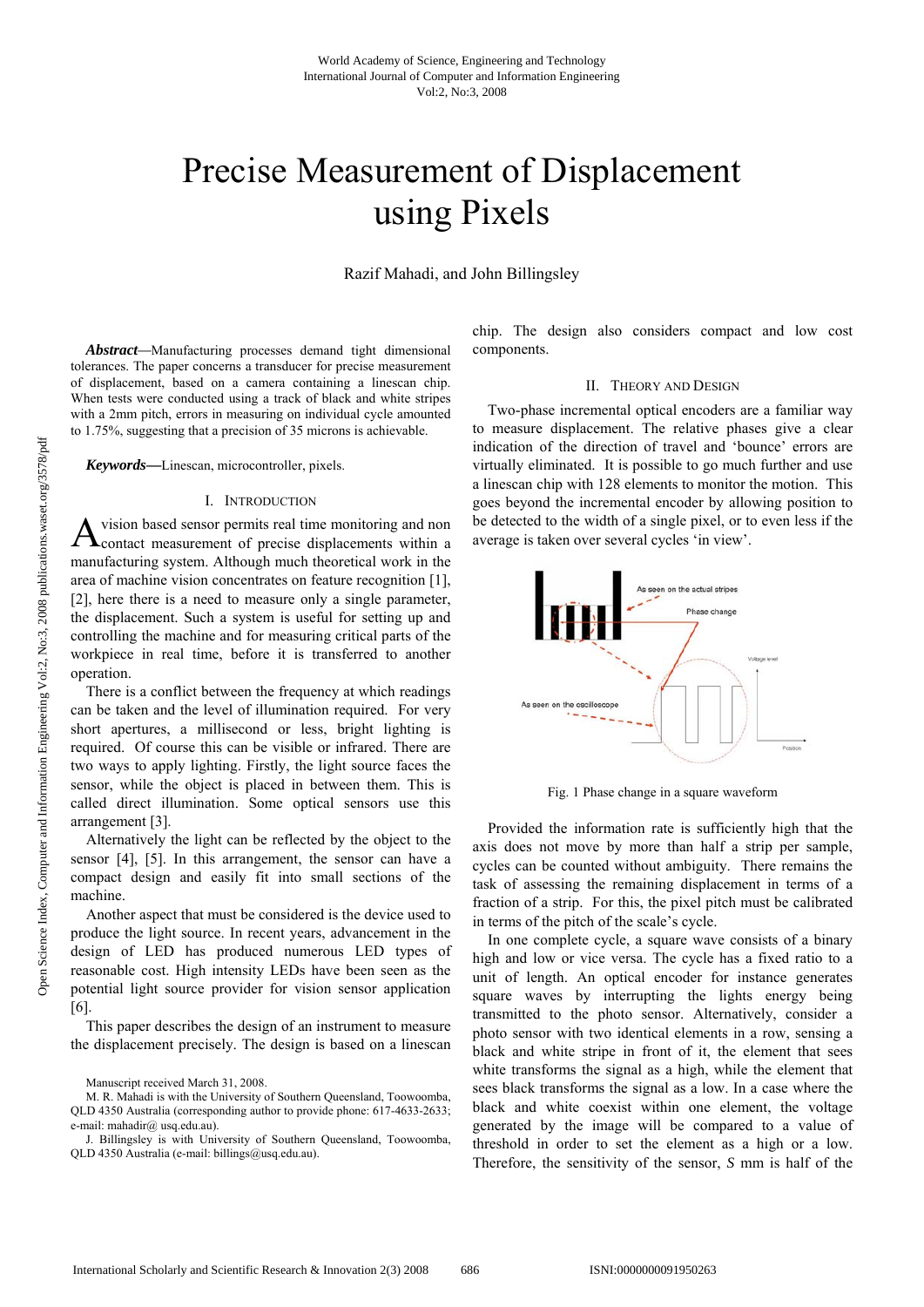# Precise Measurement of Displacement using Pixels

Razif Mahadi, and John Billingsley

*Abstract—*Manufacturing processes demand tight dimensional tolerances. The paper concerns a transducer for precise measurement of displacement, based on a camera containing a linescan chip. When tests were conducted using a track of black and white stripes with a 2mm pitch, errors in measuring on individual cycle amounted to 1.75%, suggesting that a precision of 35 microns is achievable.

*Keywords***—**Linescan, microcontroller, pixels.

## I. INTRODUCTION

vision based sensor permits real time monitoring and non  $A$  vision based sensor permits real time monitoring and non<br>  $A$  contact measurement of precise displacements within a manufacturing system. Although much theoretical work in the area of machine vision concentrates on feature recognition [1], [2], here there is a need to measure only a single parameter, the displacement. Such a system is useful for setting up and controlling the machine and for measuring critical parts of the workpiece in real time, before it is transferred to another operation.

There is a conflict between the frequency at which readings can be taken and the level of illumination required. For very short apertures, a millisecond or less, bright lighting is required. Of course this can be visible or infrared. There are two ways to apply lighting. Firstly, the light source faces the sensor, while the object is placed in between them. This is called direct illumination. Some optical sensors use this arrangement [3].

Alternatively the light can be reflected by the object to the sensor [4], [5]. In this arrangement, the sensor can have a compact design and easily fit into small sections of the machine.

Another aspect that must be considered is the device used to produce the light source. In recent years, advancement in the design of LED has produced numerous LED types of reasonable cost. High intensity LEDs have been seen as the potential light source provider for vision sensor application [6].

This paper describes the design of an instrument to measure the displacement precisely. The design is based on a linescan chip. The design also considers compact and low cost components.

#### II. THEORY AND DESIGN

Two-phase incremental optical encoders are a familiar way to measure displacement. The relative phases give a clear indication of the direction of travel and 'bounce' errors are virtually eliminated. It is possible to go much further and use a linescan chip with 128 elements to monitor the motion. This goes beyond the incremental encoder by allowing position to be detected to the width of a single pixel, or to even less if the average is taken over several cycles 'in view'.



Fig. 1 Phase change in a square waveform

Provided the information rate is sufficiently high that the axis does not move by more than half a strip per sample, cycles can be counted without ambiguity. There remains the task of assessing the remaining displacement in terms of a fraction of a strip. For this, the pixel pitch must be calibrated in terms of the pitch of the scale's cycle.

In one complete cycle, a square wave consists of a binary high and low or vice versa. The cycle has a fixed ratio to a unit of length. An optical encoder for instance generates square waves by interrupting the lights energy being transmitted to the photo sensor. Alternatively, consider a photo sensor with two identical elements in a row, sensing a black and white stripe in front of it, the element that sees white transforms the signal as a high, while the element that sees black transforms the signal as a low. In a case where the black and white coexist within one element, the voltage generated by the image will be compared to a value of threshold in order to set the element as a high or a low. Therefore, the sensitivity of the sensor, *S* mm is half of the

Manuscript received March 31, 2008.

M. R. Mahadi is with the University of Southern Queensland, Toowoomba, QLD 4350 Australia (corresponding author to provide phone: 617-4633-2633; e-mail: mahadir@ usq.edu.au).

J. Billingsley is with University of Southern Queensland, Toowoomba, QLD 4350 Australia (e-mail: billings@usq.edu.au).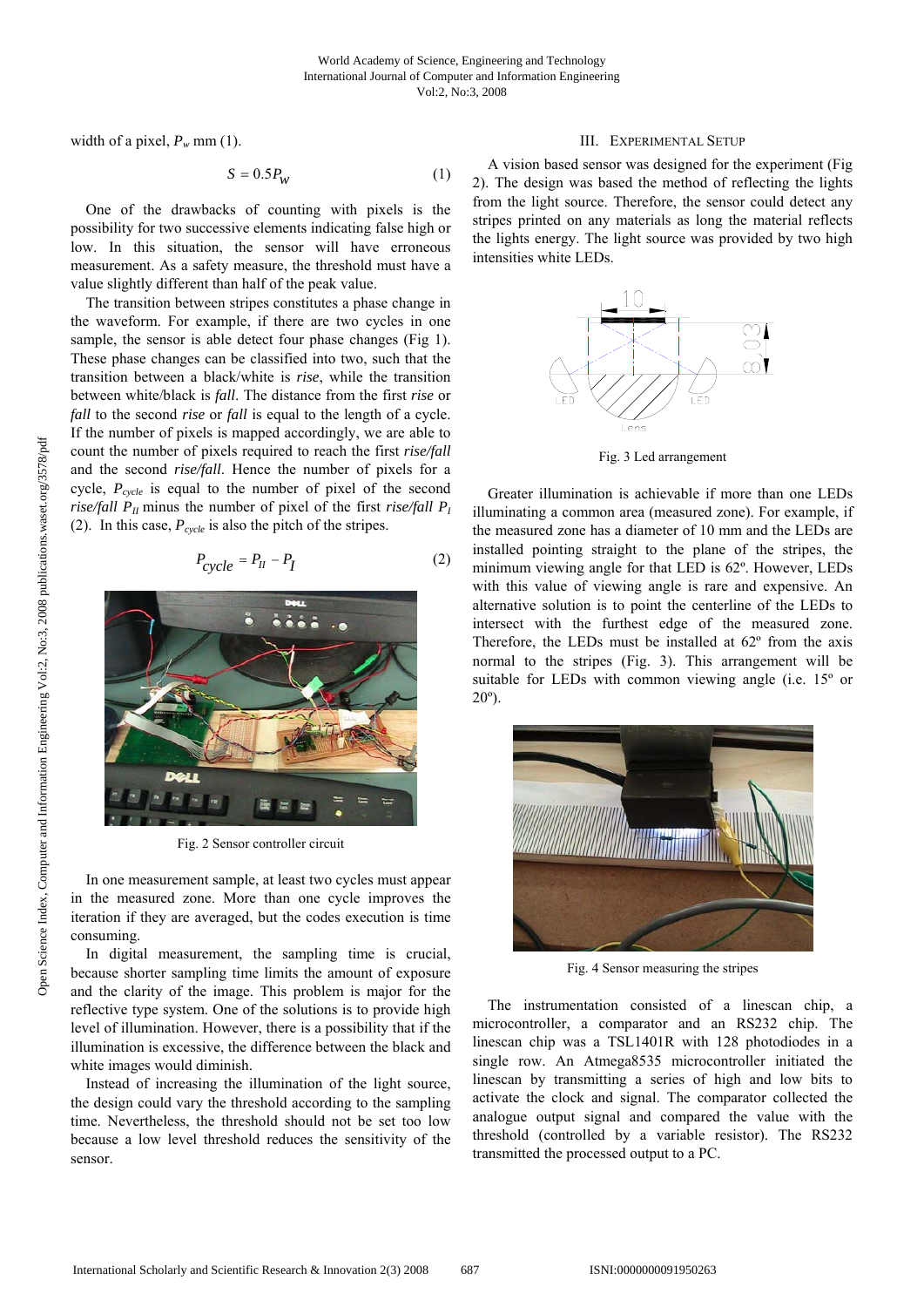width of a pixel,  $P_w$  mm (1).

$$
S = 0.5P_W \tag{1}
$$

One of the drawbacks of counting with pixels is the possibility for two successive elements indicating false high or low. In this situation, the sensor will have erroneous measurement. As a safety measure, the threshold must have a value slightly different than half of the peak value.

The transition between stripes constitutes a phase change in the waveform. For example, if there are two cycles in one sample, the sensor is able detect four phase changes (Fig 1). These phase changes can be classified into two, such that the transition between a black/white is *rise*, while the transition between white/black is *fall*. The distance from the first *rise* or *fall* to the second *rise* or *fall* is equal to the length of a cycle. If the number of pixels is mapped accordingly, we are able to count the number of pixels required to reach the first *rise/fall* and the second *rise/fall*. Hence the number of pixels for a cycle,  $P_{cycle}$  is equal to the number of pixel of the second *rise/fall*  $P_{II}$  minus the number of pixel of the first *rise/fall*  $P_I$ (2). In this case,  $P_{cycle}$  is also the pitch of the stripes.

$$
P_{cycle} = P_H - P_I \tag{2}
$$



Fig. 2 Sensor controller circuit

In one measurement sample, at least two cycles must appear in the measured zone. More than one cycle improves the iteration if they are averaged, but the codes execution is time consuming.

In digital measurement, the sampling time is crucial, because shorter sampling time limits the amount of exposure and the clarity of the image. This problem is major for the reflective type system. One of the solutions is to provide high level of illumination. However, there is a possibility that if the illumination is excessive, the difference between the black and white images would diminish.

Instead of increasing the illumination of the light source, the design could vary the threshold according to the sampling time. Nevertheless, the threshold should not be set too low because a low level threshold reduces the sensitivity of the sensor.

## III. EXPERIMENTAL SETUP

A vision based sensor was designed for the experiment (Fig 2). The design was based the method of reflecting the lights from the light source. Therefore, the sensor could detect any stripes printed on any materials as long the material reflects the lights energy. The light source was provided by two high intensities white LEDs.



Fig. 3 Led arrangement

Greater illumination is achievable if more than one LEDs illuminating a common area (measured zone). For example, if the measured zone has a diameter of 10 mm and the LEDs are installed pointing straight to the plane of the stripes, the minimum viewing angle for that LED is 62º. However, LEDs with this value of viewing angle is rare and expensive. An alternative solution is to point the centerline of the LEDs to intersect with the furthest edge of the measured zone. Therefore, the LEDs must be installed at 62º from the axis normal to the stripes (Fig. 3). This arrangement will be suitable for LEDs with common viewing angle (i.e. 15º or  $20^{\circ}$ ).



Fig. 4 Sensor measuring the stripes

The instrumentation consisted of a linescan chip, a microcontroller, a comparator and an RS232 chip. The linescan chip was a TSL1401R with 128 photodiodes in a single row. An Atmega8535 microcontroller initiated the linescan by transmitting a series of high and low bits to activate the clock and signal. The comparator collected the analogue output signal and compared the value with the threshold (controlled by a variable resistor). The RS232 transmitted the processed output to a PC.